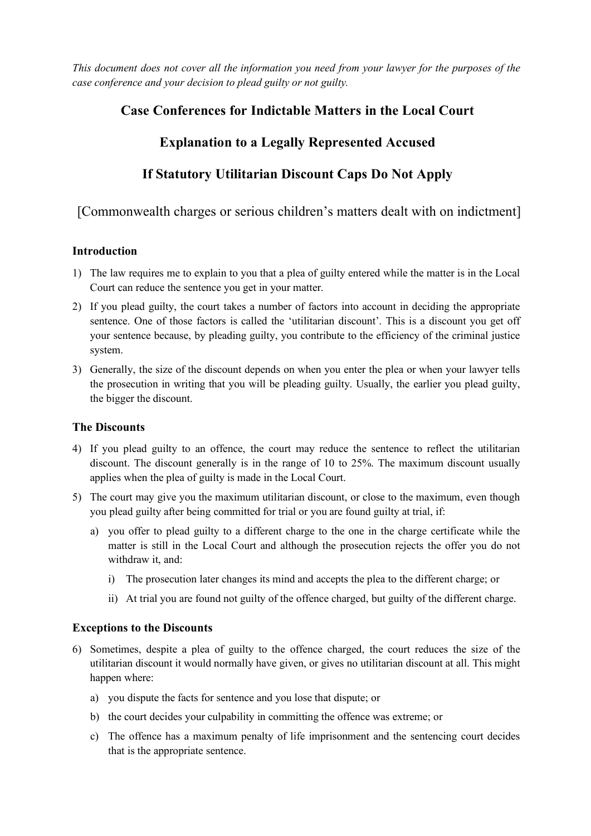*This document does not cover all the information you need from your lawyer for the purposes of the case conference and your decision to plead guilty or not guilty.*

### **Case Conferences for Indictable Matters in the Local Court**

# **Explanation to a Legally Represented Accused**

# **If Statutory Utilitarian Discount Caps Do Not Apply**

[Commonwealth charges or serious children's matters dealt with on indictment]

#### **Introduction**

- 1) The law requires me to explain to you that a plea of guilty entered while the matter is in the Local Court can reduce the sentence you get in your matter.
- 2) If you plead guilty, the court takes a number of factors into account in deciding the appropriate sentence. One of those factors is called the 'utilitarian discount'. This is a discount you get off your sentence because, by pleading guilty, you contribute to the efficiency of the criminal justice system.
- 3) Generally, the size of the discount depends on when you enter the plea or when your lawyer tells the prosecution in writing that you will be pleading guilty. Usually, the earlier you plead guilty, the bigger the discount.

#### **The Discounts**

- 4) If you plead guilty to an offence, the court may reduce the sentence to reflect the utilitarian discount. The discount generally is in the range of 10 to 25%. The maximum discount usually applies when the plea of guilty is made in the Local Court.
- 5) The court may give you the maximum utilitarian discount, or close to the maximum, even though you plead guilty after being committed for trial or you are found guilty at trial, if:
	- a) you offer to plead guilty to a different charge to the one in the charge certificate while the matter is still in the Local Court and although the prosecution rejects the offer you do not withdraw it, and:
		- i) The prosecution later changes its mind and accepts the plea to the different charge; or
		- ii) At trial you are found not guilty of the offence charged, but guilty of the different charge.

#### **Exceptions to the Discounts**

- 6) Sometimes, despite a plea of guilty to the offence charged, the court reduces the size of the utilitarian discount it would normally have given, or gives no utilitarian discount at all. This might happen where:
	- a) you dispute the facts for sentence and you lose that dispute; or
	- b) the court decides your culpability in committing the offence was extreme; or
	- c) The offence has a maximum penalty of life imprisonment and the sentencing court decides that is the appropriate sentence.